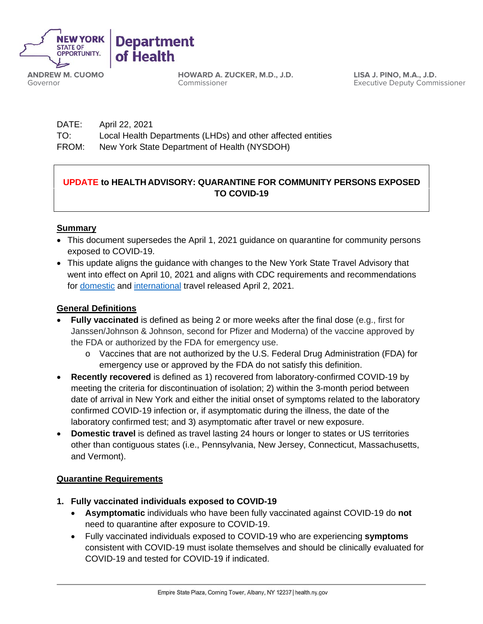

**ANDREW M. CUOMO** Governor

**HOWARD A. ZUCKER, M.D., J.D.** Commissioner

**LISA J. PINO, M.A., J.D.** Executive Deputy Commissioner

| DATE: | April 22, 2021                                              |
|-------|-------------------------------------------------------------|
| TO:   | Local Health Departments (LHDs) and other affected entities |
| FROM: | New York State Department of Health (NYSDOH)                |

# **UPDATE to HEALTH ADVISORY: QUARANTINE FOR COMMUNITY PERSONS EXPOSED TO COVID-19**

### **Summary**

- This document supersedes the April 1, 2021 guidance on quarantine for community persons exposed to COVID-19.
- This update aligns the guidance with changes to the New York State Travel Advisory that went into effect on April 10, 2021 and aligns with CDC requirements and recommendations for domestic and international travel released April 2, 2021.

### **General Definitions**

- **Fully vaccinated** is defined as being 2 or more weeks after the final dose (e.g., first for Janssen/Johnson & Johnson, second for Pfizer and Moderna) of the vaccine approved by the FDA or authorized by the FDA for emergency use.
	- o Vaccines that are not authorized by the U.S. Federal Drug Administration (FDA) for emergency use or approved by the FDA do not satisfy this definition.
- **Recently recovered** is defined as 1) recovered from laboratory-confirmed COVID-19 by meeting the criteria for discontinuation of isolation; 2) within the 3-month period between date of arrival in New York and either the initial onset of symptoms related to the laboratory confirmed COVID-19 infection or, if asymptomatic during the illness, the date of the laboratory confirmed test; and 3) asymptomatic after travel or new exposure.
- **Domestic travel** is defined as travel lasting 24 hours or longer to states or US territories other than contiguous states (i.e., Pennsylvania, New Jersey, Connecticut, Massachusetts, and Vermont).

#### **Quarantine Requirements**

- **1. Fully vaccinated individuals exposed to COVID-19**
	- **Asymptomatic** individuals who have been fully vaccinated against COVID-19 do **not**  need to quarantine after exposure to COVID-19.
	- Fully vaccinated individuals exposed to COVID-19 who are experiencing **symptoms** consistent with COVID-19 must isolate themselves and should be clinically evaluated for COVID-19 and tested for COVID-19 if indicated.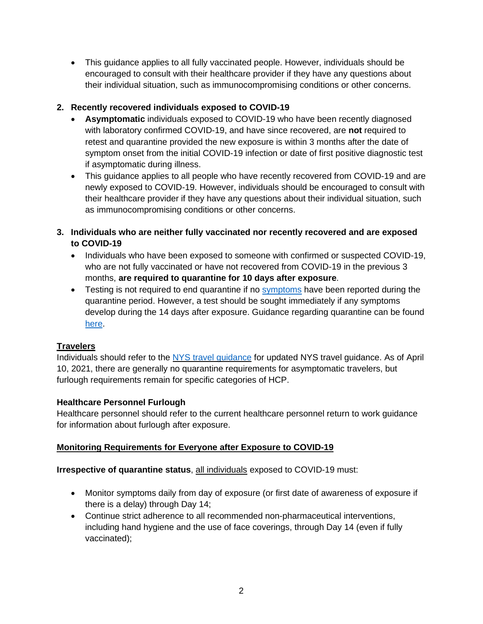• This guidance applies to all fully vaccinated people. However, individuals should be encouraged to consult with their healthcare provider if they have any questions about their individual situation, such as immunocompromising conditions or other concerns.

# **2. Recently recovered individuals exposed to COVID-19**

- **Asymptomatic** individuals exposed to COVID-19 who have been recently diagnosed with laboratory confirmed COVID-19, and have since recovered, are **not** required to retest and quarantine provided the new exposure is within 3 months after the date of symptom onset from the initial COVID-19 infection or date of first positive diagnostic test if asymptomatic during illness.
- This guidance applies to all people who have recently recovered from COVID-19 and are newly exposed to COVID-19. However, individuals should be encouraged to consult with their healthcare provider if they have any questions about their individual situation, such as immunocompromising conditions or other concerns.
- **3. Individuals who are neither fully vaccinated nor recently recovered and are exposed to COVID-19**
	- Individuals who have been exposed to someone with confirmed or suspected COVID-19, who are not fully vaccinated or have not recovered from COVID-19 in the previous 3 months, **are required to quarantine for 10 days after exposure**.
	- Testing is not required to end quarantine if no symptoms have been reported during the quarantine period. However, a test should be sought immediately if any symptoms develop during the 14 days after exposure. Guidance regarding quarantine can be found here.

# **Travelers**

Individuals should refer to the NYS travel guidance for updated NYS travel guidance. As of April 10, 2021, there are generally no quarantine requirements for asymptomatic travelers, but furlough requirements remain for specific categories of HCP.

### **Healthcare Personnel Furlough**

Healthcare personnel should refer to the current healthcare personnel return to work guidance for information about furlough after exposure.

# **Monitoring Requirements for Everyone after Exposure to COVID-19**

### **Irrespective of quarantine status**, all individuals exposed to COVID-19 must:

- Monitor symptoms daily from day of exposure (or first date of awareness of exposure if there is a delay) through Day 14;
- Continue strict adherence to all recommended non-pharmaceutical interventions, including hand hygiene and the use of face coverings, through Day 14 (even if fully vaccinated);